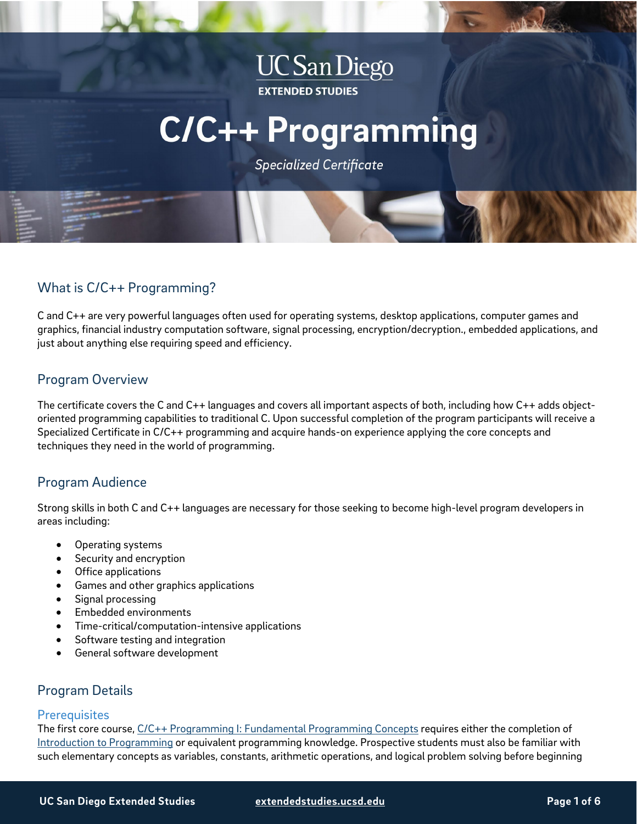## **UC San Diego EXTENDED STUDIES**

# **C/C++ Programming**

**Specialized Certificate** 

## What is C/C++ Programming?

C and C++ are very powerful languages often used for operating systems, desktop applications, computer games and graphics, financial industry computation software, signal processing, encryption/decryption., embedded applications, and just about anything else requiring speed and efficiency.

## Program Overview

The certificate covers the C and C++ languages and covers all important aspects of both, including how C++ adds objectoriented programming capabilities to traditional C. Upon successful completion of the program participants will receive a Specialized Certificate in C/C++ programming and acquire hands-on experience applying the core concepts and techniques they need in the world of programming.

## Program Audience

Strong skills in both C and C++ languages are necessary for those seeking to become high-level program developers in areas including:

- Operating systems
- Security and encryption
- Office applications
- Games and other graphics applications
- Signal processing
- Embedded environments
- Time-critical/computation-intensive applications
- Software testing and integration
- General software development

## Program Details

#### **Prerequisites**

The first core course, [C/C++ Programming I: Fundamental Programming Concepts](https://extension.ucsd.edu/courses-and-programs/c-c-programming-i-fundamental-programming-concepts?utm_source=faqs-pdf&utm_medium=pdf&utm_campaign=bst-cplus-programming) requires either the completion of [Introduction to Programming](https://extension.ucsd.edu/courses-and-programs/introduction-to-programming?utm_source=faqs-pdf&utm_medium=pdf&utm_campaign=bst-cplus-programming) or equivalent programming knowledge. Prospective students must also be familiar with such elementary concepts as variables, constants, arithmetic operations, and logical problem solving before beginning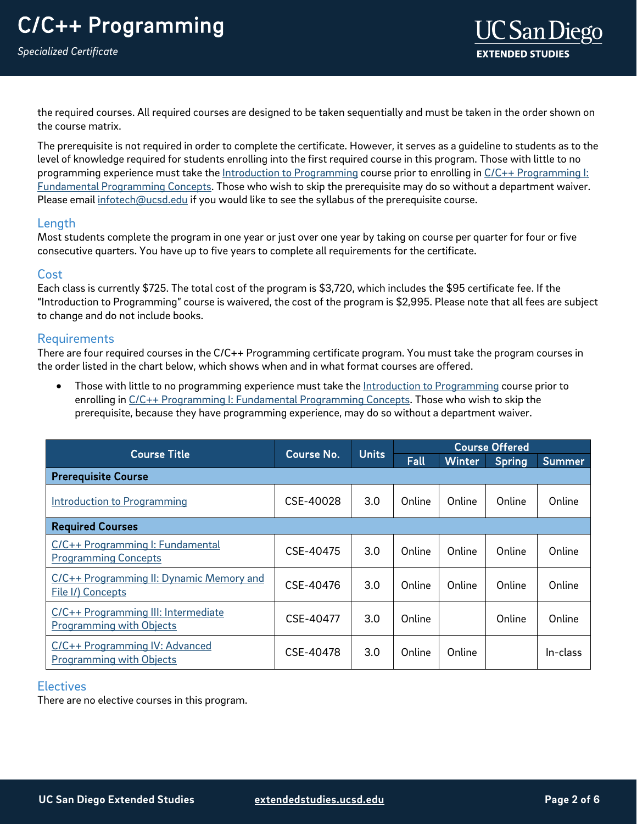*Specialized Certificate*

the required courses. All required courses are designed to be taken sequentially and must be taken in the order shown on the course matrix.

The prerequisite is not required in order to complete the certificate. However, it serves as a guideline to students as to the level of knowledge required for students enrolling into the first required course in this program. Those with little to no programming experience must take the [Introduction to Programming](https://extension.ucsd.edu/courses-and-programs/introduction-to-programming?utm_source=faqs-pdf&utm_medium=pdf&utm_campaign=bst-cplus-programming) course prior to enrolling i[n C/C++ Programming I:](https://extension.ucsd.edu/courses-and-programs/c-c-programming-i-fundamental-programming-concepts?utm_source=faqs-pdf&utm_medium=pdf&utm_campaign=bst-cplus-programming)  [Fundamental Programming Concepts.](https://extension.ucsd.edu/courses-and-programs/c-c-programming-i-fundamental-programming-concepts?utm_source=faqs-pdf&utm_medium=pdf&utm_campaign=bst-cplus-programming) Those who wish to skip the prerequisite may do so without a department waiver. Please email [infotech@ucsd.edu](mailto:infotech@ucsd.edu) if you would like to see the syllabus of the prerequisite course.

#### Length

Most students complete the program in one year or just over one year by taking on course per quarter for four or five consecutive quarters. You have up to five years to complete all requirements for the certificate.

#### **Cost**

<span id="page-1-0"></span>Each class is currently \$725. The total cost of the program is \$3,720, which includes the \$95 certificate fee. If the "Introduction to Programming" course is waivered, the cost of the program is \$2,995. Please note that all fees are subject to change and do not include books.

#### Requirements

There are four required courses in the C/C++ Programming certificate program. You must take the program courses in the order listed in the chart below, which shows when and in what format courses are offered.

Those with little to no programming experience must take the [Introduction to Programming](https://extension.ucsd.edu/courses-and-programs/introduction-to-programming?utm_source=faqs-pdf&utm_medium=pdf&utm_campaign=bst-cplus-programming) course prior to enrolling in  $C/C++$  Programming I: Fundamental Programming Concepts. Those who wish to skip the prerequisite, because they have programming experience, may do so without a department waiver.

| <b>Course Title</b>                                                    | <b>Course No.</b> | <b>Units</b> | <b>Course Offered</b> |               |               |               |
|------------------------------------------------------------------------|-------------------|--------------|-----------------------|---------------|---------------|---------------|
|                                                                        |                   |              | Fall                  | <b>Winter</b> | <b>Spring</b> | <b>Summer</b> |
| <b>Prerequisite Course</b>                                             |                   |              |                       |               |               |               |
| <b>Introduction to Programming</b>                                     | CSE-40028         | 3.0          | Online                | Online        | Online        | Online        |
| <b>Required Courses</b>                                                |                   |              |                       |               |               |               |
| C/C++ Programming I: Fundamental<br><b>Programming Concepts</b>        | CSE-40475         | 3.0          | Online                | Online        | Online        | Online        |
| C/C++ Programming II: Dynamic Memory and<br>File I/) Concepts          | CSE-40476         | 3.0          | Online                | Online        | Online        | Online        |
| C/C++ Programming III: Intermediate<br><b>Programming with Objects</b> | CSE-40477         | 3.0          | Online                |               | Online        | Online        |
| C/C++ Programming IV: Advanced<br><b>Programming with Objects</b>      | CSE-40478         | 3.0          | Online                | Online        |               | In-class      |

#### **Electives**

There are no elective courses in this program.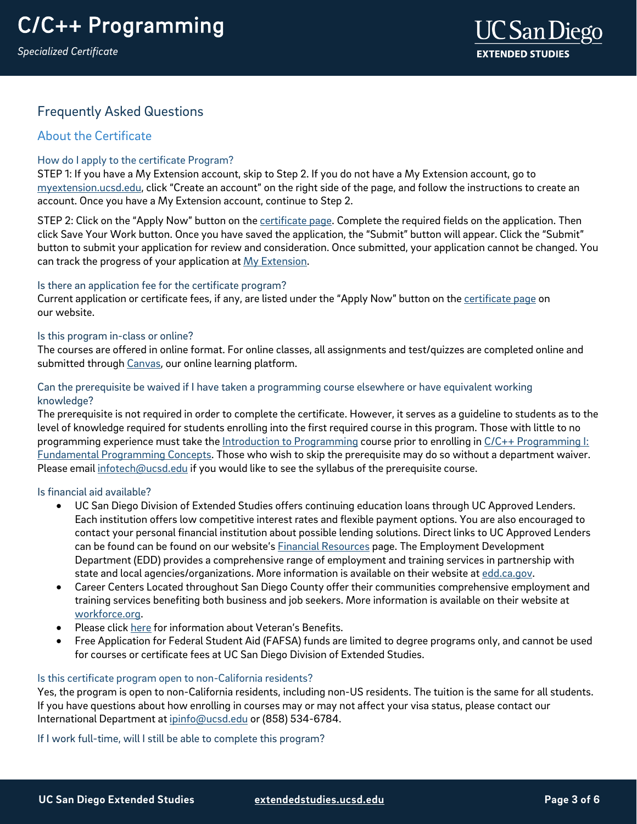*Specialized Certificate*

## Frequently Asked Questions

### About the Certificate

#### How do I apply to the certificate Program?

STEP 1: If you have a My Extension account, skip to Step 2. If you do not have a My Extension account, go to [myextension.ucsd.edu,](https://myextension.ucsd.edu/) click "Create an account" on the right side of the page, and follow the instructions to create an account. Once you have a My Extension account, continue to Step 2.

STEP 2: Click on the "Apply Now" button on the [certificate page.](https://extension.ucsd.edu/courses-and-programs/c-c-programming?utm_source=faqs-pdf&utm_medium=pdf&utm_campaign=bst-cplus-programming) Complete the required fields on the application. Then click Save Your Work button. Once you have saved the application, the "Submit" button will appear. Click the "Submit" button to submit your application for review and consideration. Once submitted, your application cannot be changed. You can track the progress of your application at [My Extension.](https://myextension.ucsd.edu/)

#### Is there an application fee for the certificate program?

Current application or certificate fees, if any, are listed under the "Apply Now" button on th[e certificate page](https://extension.ucsd.edu/courses-and-programs/c-c-programming?utm_source=faqs-pdf&utm_medium=pdf&utm_campaign=bst-cplus-programming) on our website.

#### Is this program in-class or online?

The courses are offered in online format. For online classes, all assignments and test/quizzes are completed online and submitted through [Canvas,](https://ucsdextension.zendesk.com/hc/en-us/articles/360039110812--Take-an-online-course-tour-Canvas-) our online learning platform.

#### Can the prerequisite be waived if I have taken a programming course elsewhere or have equivalent working knowledge?

The prerequisite is not required in order to complete the certificate. However, it serves as a guideline to students as to the level of knowledge required for students enrolling into the first required course in this program. Those with little to no programming experience must take the [Introduction to Programming](https://extension.ucsd.edu/courses-and-programs/introduction-to-programming?utm_source=faqs-pdf&utm_medium=pdf&utm_campaign=bst-cplus-programming) course prior to enrolling in C/C++ Programming I: [Fundamental Programming Concepts.](https://extension.ucsd.edu/courses-and-programs/c-c-programming-i-fundamental-programming-concepts?utm_source=faqs-pdf&utm_medium=pdf&utm_campaign=bst-cplus-programming) Those who wish to skip the prerequisite may do so without a department waiver. Please email [infotech@ucsd.edu](mailto:infotech@ucsd.edu) if you would like to see the syllabus of the prerequisite course.

#### Is financial aid available?

- UC San Diego Division of Extended Studies offers continuing education loans through UC Approved Lenders. Each institution offers low competitive interest rates and flexible payment options. You are also encouraged to contact your personal financial institution about possible lending solutions. Direct links to UC Approved Lenders can be found can be found on our website's [Financial Resources](https://extension.ucsd.edu/student-resources/financial-resources?vAction=financial) page. The Employment Development Department (EDD) provides a comprehensive range of employment and training services in partnership with state and local agencies/organizations. More information is available on their website a[t edd.ca.gov.](http://edd.ca.gov/)
- Career Centers Located throughout San Diego County offer their communities comprehensive employment and training services benefiting both business and job seekers. More information is available on their website at [workforce.org.](http://workforce.org/)
- Please clic[k here](http://extension.ucsd.edu/student/index.cfm?vAction=vets) for information about Veteran's Benefits.
- Free Application for Federal Student Aid (FAFSA) funds are limited to degree programs only, and cannot be used for courses or certificate fees at UC San Diego Division of Extended Studies.

#### Is this certificate program open to non-California residents?

Yes, the program is open to non-California residents, including non-US residents. The tuition is the same for all students. If you have questions about how enrolling in courses may or may not affect your visa status, please contact our International Department at [ipinfo@ucsd.edu](mailto:ipinfo@ucsd.edu) or (858) 534-6784.

If I work full-time, will I still be able to complete this program?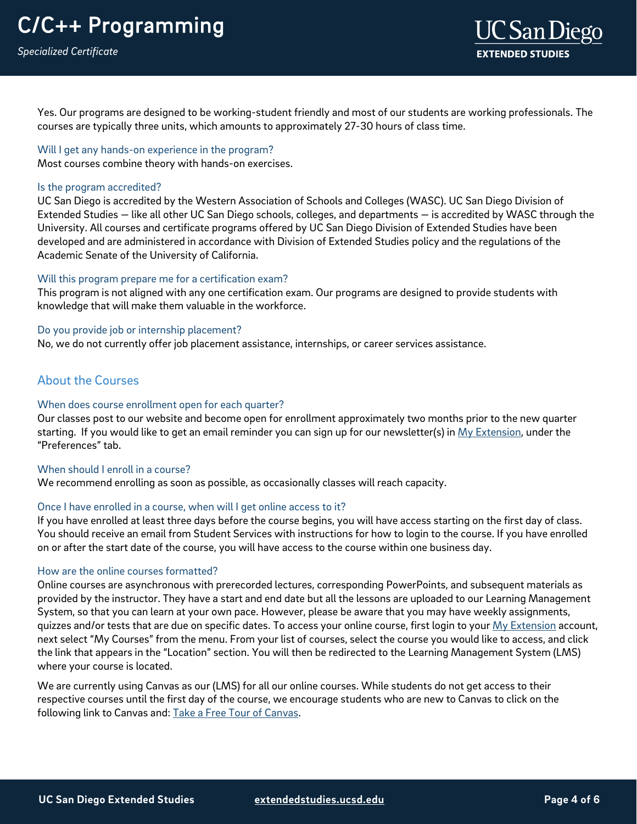Yes. Our programs are designed to be working-student friendly and most of our students are working professionals. The courses are typically three units, which amounts to approximately 27-30 hours of class time.

#### Will I get any hands-on experience in the program?

Most courses combine theory with hands-on exercises.

#### Is the program accredited?

UC San Diego is accredited by the Western Association of Schools and Colleges (WASC). UC San Diego Division of Extended Studies — like all other UC San Diego schools, colleges, and departments — is accredited by WASC through the University. All courses and certificate programs offered by UC San Diego Division of Extended Studies have been developed and are administered in accordance with Division of Extended Studies policy and the regulations of the Academic Senate of the University of California.

#### Will this program prepare me for a certification exam?

This program is not aligned with any one certification exam. Our programs are designed to provide students with knowledge that will make them valuable in the workforce.

#### Do you provide job or internship placement?

No, we do not currently offer job placement assistance, internships, or career services assistance.

## About the Courses

#### When does course enrollment open for each quarter?

Our classes post to our website and become open for enrollment approximately two months prior to the new quarter starting. If you would like to get an email reminder you can sign up for our newsletter(s) in My [Extension,](https://myextension.ucsd.edu/) under the "Preferences" tab.

#### When should I enroll in a course?

We recommend enrolling as soon as possible, as occasionally classes will reach capacity.

#### Once I have enrolled in a course, when will I get online access to it?

If you have enrolled at least three days before the course begins, you will have access starting on the first day of class. You should receive an email from Student Services with instructions for how to login to the course. If you have enrolled on or after the start date of the course, you will have access to the course within one business day.

#### How are the online courses formatted?

Online courses are asynchronous with prerecorded lectures, corresponding PowerPoints, and subsequent materials as provided by the instructor. They have a start and end date but all the lessons are uploaded to our Learning Management System, so that you can learn at your own pace. However, please be aware that you may have weekly assignments, quizzes and/or tests that are due on specific dates. To access your online course, first login to your [My Extension](https://myextension.ucsd.edu/?_ga=2.164519549.353684319.1571935825-2027605279.1571935825) account, next select "My Courses" from the menu. From your list of courses, select the course you would like to access, and click the link that appears in the "Location" section. You will then be redirected to the Learning Management System (LMS) where your course is located.

We are currently using Canvas as our (LMS) for all our online courses. While students do not get access to their respective courses until the first day of the course, we encourage students who are new to Canvas to click on the following link to Canvas and: [Take a Free Tour of Canvas.](https://ucsdextension.zendesk.com/hc/en-us/articles/360039110812--Take-an-online-course-tour-Canvas-)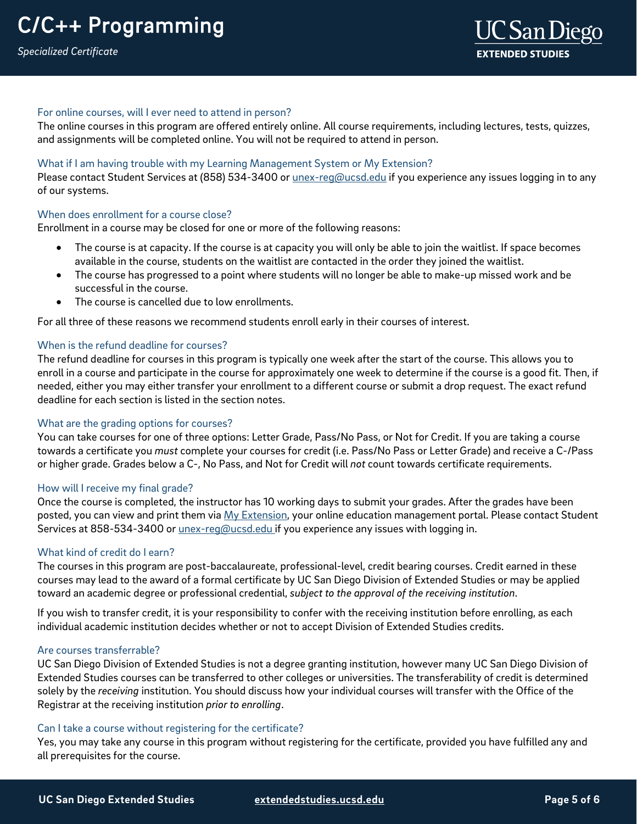#### For online courses, will I ever need to attend in person?

The online courses in this program are offered entirely online. All course requirements, including lectures, tests, quizzes, and assignments will be completed online. You will not be required to attend in person.

#### What if I am having trouble with my Learning Management System or My Extension?

Please contact Student Services at (858) 534-3400 or *unex-reg@ucsd.edu* if you experience any issues logging in to any of our systems.

#### When does enrollment for a course close?

Enrollment in a course may be closed for one or more of the following reasons:

- The course is at capacity. If the course is at capacity you will only be able to join the waitlist. If space becomes available in the course, students on the waitlist are contacted in the order they joined the waitlist.
- The course has progressed to a point where students will no longer be able to make-up missed work and be successful in the course.
- The course is cancelled due to low enrollments.

For all three of these reasons we recommend students enroll early in their courses of interest.

#### When is the refund deadline for courses?

The refund deadline for courses in this program is typically one week after the start of the course. This allows you to enroll in a course and participate in the course for approximately one week to determine if the course is a good fit. Then, if needed, either you may either transfer your enrollment to a different course or submit a drop request. The exact refund deadline for each section is listed in the section notes.

#### What are the grading options for courses?

You can take courses for one of three options: Letter Grade, Pass/No Pass, or Not for Credit. If you are taking a course towards a certificate you *must* complete your courses for credit (i.e. Pass/No Pass or Letter Grade) and receive a C-/Pass or higher grade. Grades below a C-, No Pass, and Not for Credit will *not* count towards certificate requirements.

#### How will I receive my final grade?

Once the course is completed, the instructor has 10 working days to submit your grades. After the grades have been posted, you can view and print them via [My Extension,](https://myextension.ucsd.edu/) your online education management portal. Please contact Student Services at 858-534-3400 or *unex-reg@ucsd.edu* if you experience any issues with logging in.

#### What kind of credit do Learn?

The courses in this program are post-baccalaureate, professional-level, credit bearing courses. Credit earned in these courses may lead to the award of a formal certificate by UC San Diego Division of Extended Studies or may be applied toward an academic degree or professional credential, *subject to the approval of the receiving institution*.

If you wish to transfer credit, it is your responsibility to confer with the receiving institution before enrolling, as each individual academic institution decides whether or not to accept Division of Extended Studies credits.

#### Are courses transferrable?

UC San Diego Division of Extended Studies is not a degree granting institution, however many UC San Diego Division of Extended Studies courses can be transferred to other colleges or universities. The transferability of credit is determined solely by the *receiving* institution. You should discuss how your individual courses will transfer with the Office of the Registrar at the receiving institution *prior to enrolling*.

#### Can I take a course without registering for the certificate?

Yes, you may take any course in this program without registering for the certificate, provided you have fulfilled any and all prerequisites for the course.